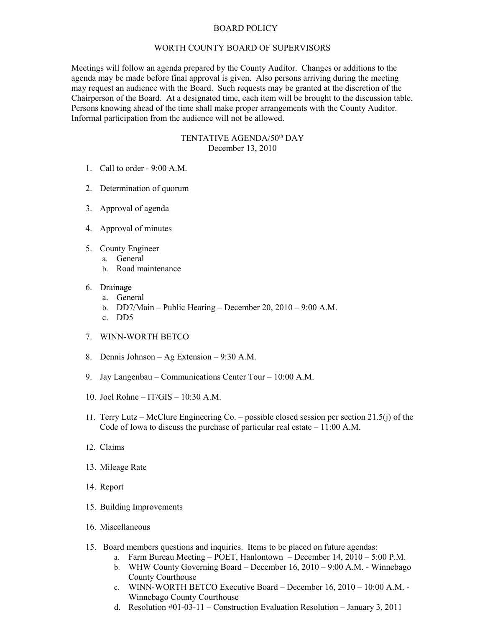## BOARD POLICY

## WORTH COUNTY BOARD OF SUPERVISORS

Meetings will follow an agenda prepared by the County Auditor. Changes or additions to the agenda may be made before final approval is given. Also persons arriving during the meeting may request an audience with the Board. Such requests may be granted at the discretion of the Chairperson of the Board. At a designated time, each item will be brought to the discussion table. Persons knowing ahead of the time shall make proper arrangements with the County Auditor. Informal participation from the audience will not be allowed.

## TENTATIVE AGENDA/50<sup>th</sup> DAY December 13, 2010

- 1. Call to order 9:00 A.M.
- 2. Determination of quorum
- 3. Approval of agenda
- 4. Approval of minutes
- 5. County Engineer
	- a. General
		- b. Road maintenance
- 6. Drainage
	- a. General
	- b. DD7/Main Public Hearing December 20, 2010 9:00 A.M.
	- c. DD5
- 7. WINN-WORTH BETCO
- 8. Dennis Johnson Ag Extension 9:30 A.M.
- 9. Jay Langenbau Communications Center Tour 10:00 A.M.
- 10. Joel Rohne IT/GIS 10:30 A.M.
- 11. Terry Lutz McClure Engineering Co. possible closed session per section 21.5(j) of the Code of Iowa to discuss the purchase of particular real estate – 11:00 A.M.
- 12. Claims
- 13. Mileage Rate
- 14. Report
- 15. Building Improvements
- 16. Miscellaneous
- 15. Board members questions and inquiries. Items to be placed on future agendas:
	- a. Farm Bureau Meeting POET, Hanlontown December 14, 2010 5:00 P.M.
	- b. WHW County Governing Board December 16, 2010 9:00 A.M. Winnebago County Courthouse
	- c. WINN-WORTH BETCO Executive Board December 16, 2010 10:00 A.M. Winnebago County Courthouse
	- d. Resolution #01-03-11 Construction Evaluation Resolution January 3, 2011